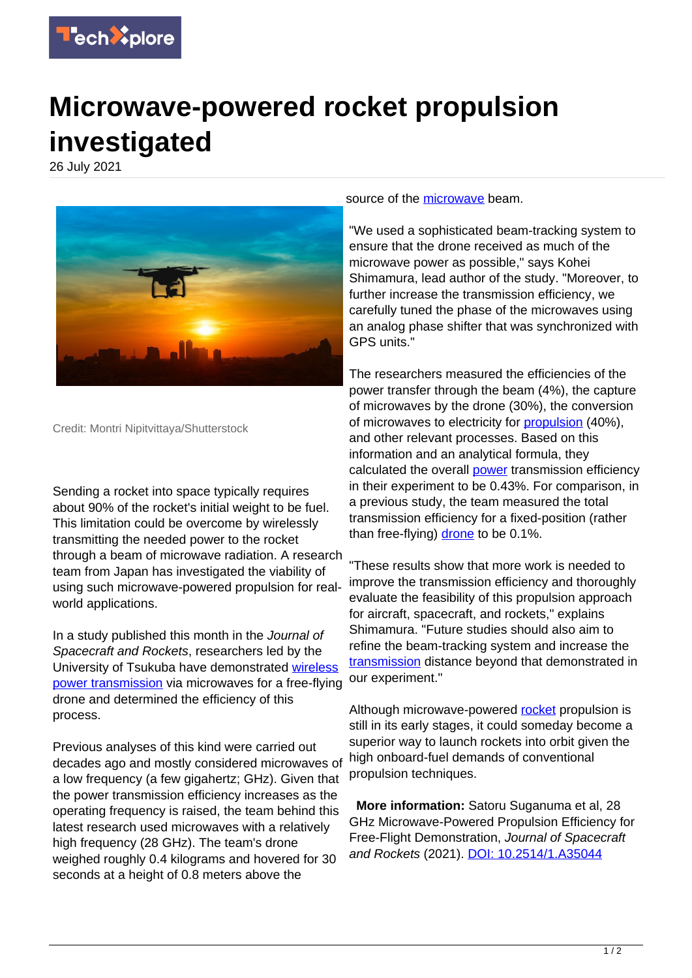

## **Microwave-powered rocket propulsion investigated**

26 July 2021



Credit: Montri Nipitvittaya/Shutterstock

Sending a rocket into space typically requires about 90% of the rocket's initial weight to be fuel. This limitation could be overcome by wirelessly transmitting the needed power to the rocket through a beam of microwave radiation. A research team from Japan has investigated the viability of using such microwave-powered propulsion for realworld applications.

In a study published this month in the Journal of Spacecraft and Rockets, researchers led by the University of Tsukuba have demonstrated [wireless](https://techxplore.com/tags/wireless+power+transmission/) [power transmission](https://techxplore.com/tags/wireless+power+transmission/) via microwaves for a free-flying drone and determined the efficiency of this process.

Previous analyses of this kind were carried out decades ago and mostly considered microwaves of a low frequency (a few gigahertz; GHz). Given that the power transmission efficiency increases as the operating frequency is raised, the team behind this latest research used microwaves with a relatively high frequency (28 GHz). The team's drone weighed roughly 0.4 kilograms and hovered for 30 seconds at a height of 0.8 meters above the

source of the [microwave](https://techxplore.com/tags/microwave/) beam.

"We used a sophisticated beam-tracking system to ensure that the drone received as much of the microwave power as possible," says Kohei Shimamura, lead author of the study. "Moreover, to further increase the transmission efficiency, we carefully tuned the phase of the microwaves using an analog phase shifter that was synchronized with GPS units."

The researchers measured the efficiencies of the power transfer through the beam (4%), the capture of microwaves by the drone (30%), the conversion of microwaves to electricity for [propulsion](https://techxplore.com/tags/propulsion/) (40%), and other relevant processes. Based on this information and an analytical formula, they calculated the overall [power](https://techxplore.com/tags/power/) transmission efficiency in their experiment to be 0.43%. For comparison, in a previous study, the team measured the total transmission efficiency for a fixed-position (rather than free-flying) [drone](https://techxplore.com/tags/drone/) to be 0.1%.

"These results show that more work is needed to improve the transmission efficiency and thoroughly evaluate the feasibility of this propulsion approach for aircraft, spacecraft, and rockets," explains Shimamura. "Future studies should also aim to refine the beam-tracking system and increase the [transmission](https://techxplore.com/tags/transmission/) distance beyond that demonstrated in our experiment."

Although microwave-powered [rocket](https://techxplore.com/tags/rocket/) propulsion is still in its early stages, it could someday become a superior way to launch rockets into orbit given the high onboard-fuel demands of conventional propulsion techniques.

 **More information:** Satoru Suganuma et al, 28 GHz Microwave-Powered Propulsion Efficiency for Free-Flight Demonstration, Journal of Spacecraft and Rockets (2021). [DOI: 10.2514/1.A35044](http://dx.doi.org/10.2514/1.A35044)